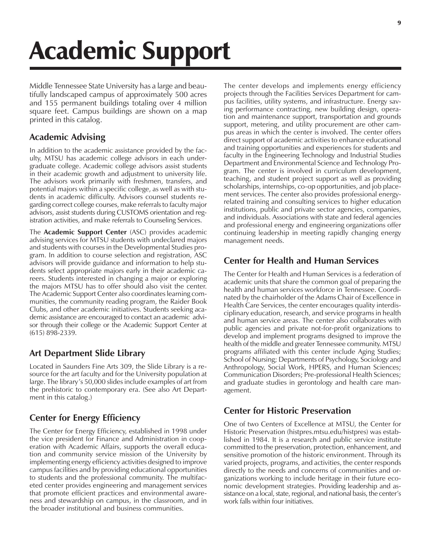# Academic Support

Middle Tennessee State University has a large and beautifully landscaped campus of approximately 500 acres and 155 permanent buildings totaling over 4 million square feet. Campus buildings are shown on a map printed in this catalog.

# **Academic Advising**

In addition to the academic assistance provided by the faculty, MTSU has academic college advisors in each undergraduate college. Academic college advisors assist students in their academic growth and adjustment to university life. The advisors work primarily with freshmen, transfers, and potential majors within a specific college, as well as with students in academic difficulty. Advisors counsel students regarding correct college courses, make referrals to faculty major advisors, assist students during CUSTOMS orientation and registration activities, and make referrals to Counseling Services.

The **Academic Support Center** (ASC) provides academic advising services for MTSU students with undeclared majors and students with courses in the Developmental Studies program. In addition to course selection and registration, ASC advisors will provide guidance and information to help students select appropriate majors early in their academic careers. Students interested in changing a major or exploring the majors MTSU has to offer should also visit the center. The Academic Support Center also coordinates learning communities, the community reading program, the Raider Book Clubs, and other academic initiatives. Students seeking academic assistance are encouraged to contact an academic advisor through their college or the Academic Support Center at (615) 898-2339.

# **Art Department Slide Library**

Located in Saunders Fine Arts 309, the Slide Library is a resource for the art faculty and for the University population at large. The library's 50,000 slides include examples of art from the prehistoric to contemporary era. (See also Art Department in this catalog.)

# **Center for Energy Efficiency**

The Center for Energy Efficiency, established in 1998 under the vice president for Finance and Administration in cooperation with Academic Affairs, supports the overall education and community service mission of the University by implementing energy efficiency activities designed to improve campus facilities and by providing educational opportunities to students and the professional community. The multifaceted center provides engineering and management services that promote efficient practices and environmental awareness and stewardship on campus, in the classroom, and in the broader institutional and business communities.

The center develops and implements energy efficiency projects through the Facilities Services Department for campus facilities, utility systems, and infrastructure. Energy saving performance contracting, new building design, operation and maintenance support, transportation and grounds support, metering, and utility procurement are other campus areas in which the center is involved. The center offers direct support of academic activities to enhance educational and training opportunities and experiences for students and faculty in the Engineering Technology and Industrial Studies Department and Environmental Science and Technology Program. The center is involved in curriculum development, teaching, and student project support as well as providing scholarships, internships, co-op opportunities, and job placement services. The center also provides professional energyrelated training and consulting services to higher education institutions, public and private sector agencies, companies, and individuals. Associations with state and federal agencies and professional energy and engineering organizations offer continuing leadership in meeting rapidly changing energy management needs.

# **Center for Health and Human Services**

The Center for Health and Human Services is a federation of academic units that share the common goal of preparing the health and human services workforce in Tennessee. Coordinated by the chairholder of the Adams Chair of Excellence in Health Care Services, the center encourages quality interdisciplinary education, research, and service programs in health and human service areas. The center also collaborates with public agencies and private not-for-profit organizations to develop and implement programs designed to improve the health of the middle and greater Tennessee community. MTSU programs affiliated with this center include Aging Studies; School of Nursing; Departments of Psychology, Sociology and Anthropology, Social Work, HPERS, and Human Sciences; Communication Disorders; Pre-professional Health Sciences; and graduate studies in gerontology and health care management.

# **Center for Historic Preservation**

One of two Centers of Excellence at MTSU, the Center for Historic Preservation (histpres.mtsu.edu/histpres) was established in 1984. It is a research and public service institute committed to the preservation, protection, enhancement, and sensitive promotion of the historic environment. Through its varied projects, programs, and activities, the center responds directly to the needs and concerns of communities and organizations working to include heritage in their future economic development strategies. Providing leadership and assistance on a local, state, regional, and national basis, the center's work falls within four initiatives.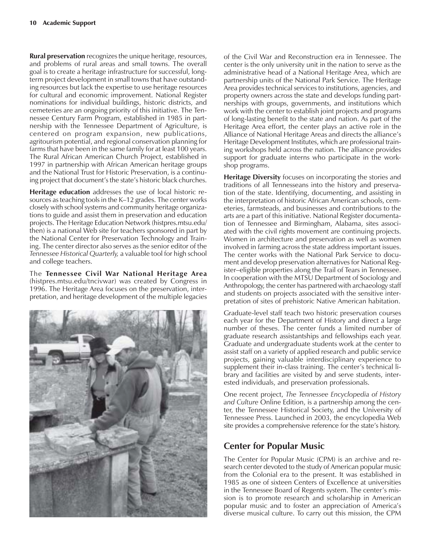**Rural preservation** recognizes the unique heritage, resources, and problems of rural areas and small towns. The overall goal is to create a heritage infrastructure for successful, longterm project development in small towns that have outstanding resources but lack the expertise to use heritage resources for cultural and economic improvement. National Register nominations for individual buildings, historic districts, and cemeteries are an ongoing priority of this initiative. The Tennessee Century Farm Program, established in 1985 in partnership with the Tennessee Department of Agriculture, is centered on program expansion, new publications, agritourism potential, and regional conservation planning for farms that have been in the same family for at least 100 years. The Rural African American Church Project, established in 1997 in partnership with African American heritage groups and the National Trust for Historic Preservation, is a continuing project that document's the state's historic black churches.

**Heritage education** addresses the use of local historic resources as teaching tools in the K-12 grades. The center works closely with school systems and community heritage organizations to guide and assist them in preservation and education projects. The Heritage Education Network (histpres.mtsu.edu/ then) is a national Web site for teachers sponsored in part by the National Center for Preservation Technology and Training. The center director also serves as the senior editor of the *Tennessee Historical Quarterly,* a valuable tool for high school and college teachers.

The **Tennessee Civil War National Heritage Area** (histpres.mtsu.edu/tncivwar) was created by Congress in 1996. The Heritage Area focuses on the preservation, interpretation, and heritage development of the multiple legacies



of the Civil War and Reconstruction era in Tennessee. The center is the only university unit in the nation to serve as the administrative head of a National Heritage Area, which are partnership units of the National Park Service. The Heritage Area provides technical services to institutions, agencies, and property owners across the state and develops funding partnerships with groups, governments, and institutions which work with the center to establish joint projects and programs of long-lasting benefit to the state and nation. As part of the Heritage Area effort, the center plays an active role in the Alliance of National Heritage Areas and directs the alliance's Heritage Development Institutes, which are professional training workshops held across the nation. The alliance provides support for graduate interns who participate in the workshop programs.

**Heritage Diversity** focuses on incorporating the stories and traditions of all Tennesseans into the history and preservation of the state. Identifying, documenting, and assisting in the interpretation of historic African American schools, cemeteries, farmsteads, and businesses and contributions to the arts are a part of this initiative. National Register documentation of Tennessee and Birmingham, Alabama, sites associated with the civil rights movement are continuing projects. Women in architecture and preservation as well as women involved in farming across the state address important issues. The center works with the National Park Service to document and develop preservation alternatives for National Register-eligible properties along the Trail of Tears in Tennessee. In cooperation with the MTSU Department of Sociology and Anthropology, the center has partnered with archaeology staff and students on projects associated with the sensitive interpretation of sites of prehistoric Native American habitation.

Graduate-level staff teach two historic preservation courses each year for the Department of History and direct a large number of theses. The center funds a limited number of graduate research assistantships and fellowships each year. Graduate and undergraduate students work at the center to assist staff on a variety of applied research and public service projects, gaining valuable interdisciplinary experience to supplement their in-class training. The center's technical library and facilities are visited by and serve students, interested individuals, and preservation professionals.

One recent project, *The Tennessee Encyclopedia of History and Culture* Online Edition, is a partnership among the center, the Tennessee Historical Society, and the University of Tennessee Press. Launched in 2003, the encyclopedia Web site provides a comprehensive reference for the state's history.

## **Center for Popular Music**

The Center for Popular Music (CPM) is an archive and research center devoted to the study of American popular music from the Colonial era to the present. It was established in 1985 as one of sixteen Centers of Excellence at universities in the Tennessee Board of Regents system. The center's mission is to promote research and scholarship in American popular music and to foster an appreciation of America's diverse musical culture. To carry out this mission, the CPM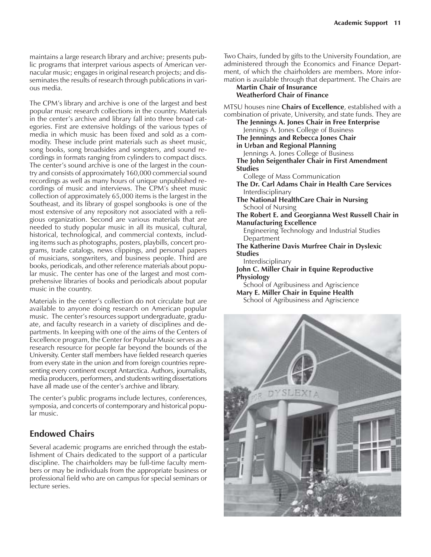maintains a large research library and archive; presents public programs that interpret various aspects of American vernacular music; engages in original research projects; and disseminates the results of research through publications in various media.

The CPM's library and archive is one of the largest and best popular music research collections in the country. Materials in the center's archive and library fall into three broad categories. First are extensive holdings of the various types of media in which music has been fixed and sold as a commodity. These include print materials such as sheet music, song books, song broadsides and songsters, and sound recordings in formats ranging from cylinders to compact discs. The center's sound archive is one of the largest in the country and consists of approximately 160,000 commercial sound recordings as well as many hours of unique unpublished recordings of music and interviews. The CPM's sheet music collection of approximately 65,000 items is the largest in the Southeast, and its library of gospel songbooks is one of the most extensive of any repository not associated with a religious organization. Second are various materials that are needed to study popular music in all its musical, cultural, historical, technological, and commercial contexts, including items such as photographs, posters, playbills, concert programs, trade catalogs, news clippings, and personal papers of musicians, songwriters, and business people. Third are books, periodicals, and other reference materials about popular music. The center has one of the largest and most comprehensive libraries of books and periodicals about popular music in the country.

Materials in the center's collection do not circulate but are available to anyone doing research on American popular music. The center's resources support undergraduate, graduate, and faculty research in a variety of disciplines and departments. In keeping with one of the aims of the Centers of Excellence program, the Center for Popular Music serves as a research resource for people far beyond the bounds of the University. Center staff members have fielded research queries from every state in the union and from foreign countries representing every continent except Antarctica. Authors, journalists, media producers, performers, and students writing dissertations have all made use of the center's archive and library.

The center's public programs include lectures, conferences, symposia, and concerts of contemporary and historical popular music.

## **Endowed Chairs**

Several academic programs are enriched through the establishment of Chairs dedicated to the support of a particular discipline. The chairholders may be full-time faculty members or may be individuals from the appropriate business or professional field who are on campus for special seminars or lecture series.

Two Chairs, funded by gifts to the University Foundation, are administered through the Economics and Finance Department, of which the chairholders are members. More information is available through that department. The Chairs are

#### **Martin Chair of Insurance Weatherford Chair of Finance**

MTSU houses nine **Chairs of Excellence**, established with a combination of private, University, and state funds. They are

**The Jennings A. Jones Chair in Free Enterprise** Jennings A. Jones College of Business **The Jennings and Rebecca Jones Chair in Urban and Regional Planning** Jennings A. Jones College of Business **The John Seigenthaler Chair in First Amendment Studies** College of Mass Communication **The Dr. Carl Adams Chair in Health Care Services** Interdisciplinary **The National HealthCare Chair in Nursing** School of Nursing **The Robert E. and Georgianna West Russell Chair in Manufacturing Excellence** Engineering Technology and Industrial Studies Department **The Katherine Davis Murfree Chair in Dyslexic Studies** Interdisciplinary **John C. Miller Chair in Equine Reproductive Physiology** School of Agribusiness and Agriscience **Mary E. Miller Chair in Equine Health** School of Agribusiness and Agriscience

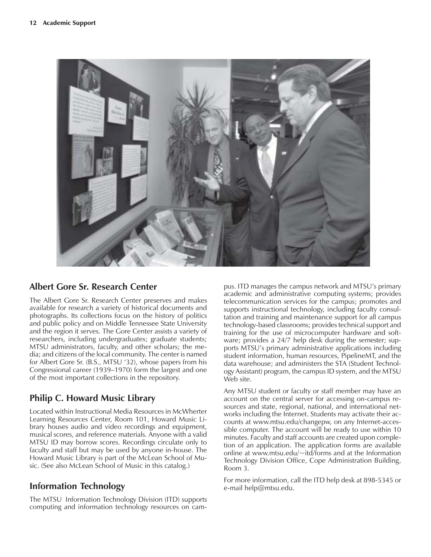

## **Albert Gore Sr. Research Center**

The Albert Gore Sr. Research Center preserves and makes available for research a variety of historical documents and photographs. Its collections focus on the history of politics and public policy and on Middle Tennessee State University and the region it serves. The Gore Center assists a variety of researchers, including undergraduates; graduate students; MTSU administrators, faculty, and other scholars; the media; and citizens of the local community. The center is named for Albert Gore Sr. (B.S., MTSU '32), whose papers from his Congressional career (1939–1970) form the largest and one of the most important collections in the repository.

# **Philip C. Howard Music Library**

Located within Instructional Media Resources in McWherter Learning Resources Center, Room 101, Howard Music Library houses audio and video recordings and equipment, musical scores, and reference materials. Anyone with a valid MTSU ID may borrow scores. Recordings circulate only to faculty and staff but may be used by anyone in-house. The Howard Music Library is part of the McLean School of Music. (See also McLean School of Music in this catalog.)

## **Information Technology**

The MTSU Information Technology Division (ITD) supports computing and information technology resources on cam-

pus. ITD manages the campus network and MTSU's primary academic and administrative computing systems; provides telecommunication services for the campus; promotes and supports instructional technology, including faculty consultation and training and maintenance support for all campus technology-based classrooms; provides technical support and training for the use of microcomputer hardware and software; provides a 24/7 help desk during the semester; supports MTSU's primary administrative applications including student information, human resources, PipelineMT, and the data warehouse; and administers the STA (Student Technology Assistant) program, the campus ID system, and the MTSU Web site.

Any MTSU student or faculty or staff member may have an account on the central server for accessing on-campus resources and state, regional, national, and international networks including the Internet. Students may activate their accounts at www.mtsu.edu/changepw, on any Internet-accessible computer. The account will be ready to use within 10 minutes. Faculty and staff accounts are created upon completion of an application. The application forms are available online at www.mtsu.edu/~itd/forms and at the Information Technology Division Office, Cope Administration Building, Room 3.

For more information, call the ITD help desk at 898-5345 or e-mail help@mtsu.edu.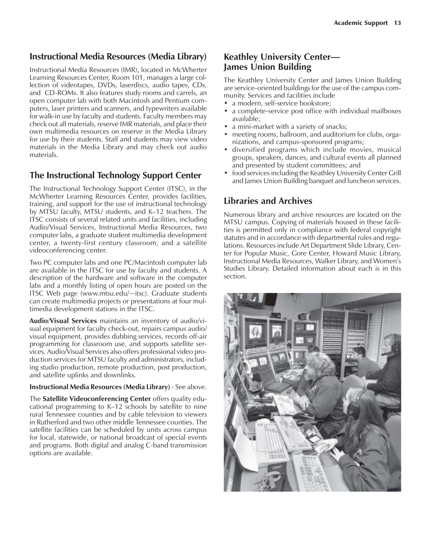## **Instructional Media Resources (Media Library)**

Instructional Media Resources (IMR), located in McWherter Learning Resources Center, Room 101, manages a large collection of videotapes, DVDs, laserdiscs, audio tapes, CDs, and CD-ROMs. It also features study rooms and carrels, an open computer lab with both Macintosh and Pentium computers, laser printers and scanners, and typewriters available for walk-in use by faculty and students. Faculty members may check out all materials, reserve IMR materials, and place their own multimedia resources on reserve in the Media Library for use by their students. Staff and students may view video materials in the Media Library and may check out audio materials.

## **The Instructional Technology Support Center**

The Instructional Technology Support Center (ITSC), in the McWherter Learning Resources Center, provides facilities, training, and support for the use of instructional technology by MTSU faculty, MTSU students, and K-12 teachers. The ITSC consists of several related units and facilities, including Audio/Visual Services, Instructional Media Resources, two computer labs, a graduate student multimedia development center, a twenty-first century classroom, and a satellite videoconferencing center.

Two PC computer labs and one PC/Macintosh computer lab are available in the ITSC for use by faculty and students. A description of the hardware and software in the computer labs and a monthly listing of open hours are posted on the ITSC Web page (www.mtsu.edu/~itsc). Graduate students can create multimedia projects or presentations at four multimedia development stations in the ITSC.

**Audio/Visual Services** maintains an inventory of audio/visual equipment for faculty check-out, repairs campus audio/ visual equipment, provides dubbing services, records off-air programming for classroom use, and supports satellite services. Audio/Visual Services also offers professional video production services for MTSU faculty and administrators, including studio production, remote production, post production, and satellite uplinks and downlinks.

#### **Instructional Media Resources (Media Library)** - See above.

The **Satellite Videoconferencing Center** offers quality educational programming to  $K-12$  schools by satellite to nine rural Tennessee counties and by cable television to viewers in Rutherford and two other middle Tennessee counties. The satellite facilities can be scheduled by units across campus for local, statewide, or national broadcast of special events and programs. Both digital and analog C-band transmission options are available.

### **Keathley University Center— James Union Building**

The Keathley University Center and James Union Building are service-oriented buildings for the use of the campus community. Services and facilities include

- a modern, self-service bookstore;
- a complete-service post office with individual mailboxes available;
- a mini-market with a variety of snacks;
- meeting rooms, ballroom, and auditorium for clubs, organizations, and campus-sponsored programs;
- diversified programs which include movies, musical groups, speakers, dances, and cultural events all planned and presented by student committees; and
- food services including the Keathley University Center Grill and James Union Building banquet and luncheon services.

## **Libraries and Archives**

Numerous library and archive resources are located on the MTSU campus. Copying of materials housed in these facilities is permitted only in compliance with federal copyright statutes and in accordance with departmental rules and regulations. Resources include Art Department Slide Library, Center for Popular Music, Gore Center, Howard Music Library, Instructional Media Resources, Walker Library, and Womenís Studies Library. Detailed information about each is in this section.

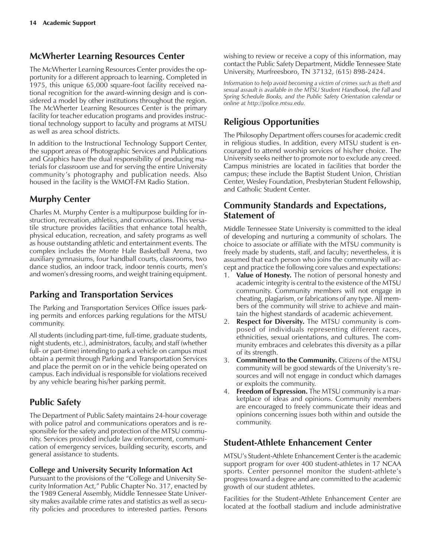## **McWherter Learning Resources Center**

The McWherter Learning Resources Center provides the opportunity for a different approach to learning. Completed in 1975, this unique 65,000 square-foot facility received national recognition for the award-winning design and is considered a model by other institutions throughout the region. The McWherter Learning Resources Center is the primary facility for teacher education programs and provides instructional technology support to faculty and programs at MTSU as well as area school districts.

In addition to the Instructional Technology Support Center, the support areas of Photographic Services and Publications and Graphics have the dual responsibility of producing materials for classroom use and for serving the entire University community's photography and publication needs. Also housed in the facility is the WMOT-FM Radio Station.

# **Murphy Center**

Charles M. Murphy Center is a multipurpose building for instruction, recreation, athletics, and convocations. This versatile structure provides facilities that enhance total health, physical education, recreation, and safety programs as well as house outstanding athletic and entertainment events. The complex includes the Monte Hale Basketball Arena, two auxiliary gymnasiums, four handball courts, classrooms, two dance studios, an indoor track, indoor tennis courts, men's and women's dressing rooms, and weight training equipment.

# **Parking and Transportation Services**

The Parking and Transportation Services Office issues parking permits and enforces parking regulations for the MTSU community.

All students (including part-time, full-time, graduate students, night students, etc.), administrators, faculty, and staff (whether full- or part-time) intending to park a vehicle on campus must obtain a permit through Parking and Transportation Services and place the permit on or in the vehicle being operated on campus. Each individual is responsible for violations received by any vehicle bearing his/her parking permit.

# **Public Safety**

The Department of Public Safety maintains 24-hour coverage with police patrol and communications operators and is responsible for the safety and protection of the MTSU community. Services provided include law enforcement, communication of emergency services, building security, escorts, and general assistance to students.

## **College and University Security Information Act**

Pursuant to the provisions of the "College and University Security Information Act," Public Chapter No. 317, enacted by the 1989 General Assembly, Middle Tennessee State University makes available crime rates and statistics as well as security policies and procedures to interested parties. Persons wishing to review or receive a copy of this information, may contact the Public Safety Department, Middle Tennessee State University, Murfreesboro, TN 37132, (615) 898-2424.

*Information to help avoid becoming a victim of crimes such as theft and sexual assault is available in the MTSU Student Handbook, the Fall and Spring Schedule Books, and the Public Safety Orientation calendar or online at http://police.mtsu.edu.*

# **Religious Opportunities**

The Philosophy Department offers courses for academic credit in religious studies. In addition, every MTSU student is encouraged to attend worship services of his/her choice. The University seeks neither to promote nor to exclude any creed. Campus ministries are located in facilities that border the campus; these include the Baptist Student Union, Christian Center, Wesley Foundation, Presbyterian Student Fellowship, and Catholic Student Center.

## **Community Standards and Expectations, Statement of**

Middle Tennessee State University is committed to the ideal of developing and nurturing a community of scholars. The choice to associate or affiliate with the MTSU community is freely made by students, staff, and faculty; nevertheless, it is assumed that each person who joins the community will accept and practice the following core values and expectations:

- 1. **Value of Honesty.** The notion of personal honesty and academic integrity is central to the existence of the MTSU community. Community members will not engage in cheating, plagiarism, or fabrications of any type. All members of the community will strive to achieve and maintain the highest standards of academic achievement.
- 2. **Respect for Diversity.** The MTSU community is composed of individuals representing different races, ethnicities, sexual orientations, and cultures. The community embraces and celebrates this diversity as a pillar of its strength.
- 3. **Commitment to the Community.** Citizens of the MTSU community will be good stewards of the University's resources and will not engage in conduct which damages or exploits the community.
- 4. **Freedom of Expression.** The MTSU community is a marketplace of ideas and opinions. Community members are encouraged to freely communicate their ideas and opinions concerning issues both within and outside the community.

# **Student-Athlete Enhancement Center**

MTSU's Student-Athlete Enhancement Center is the academic support program for over 400 student-athletes in 17 NCAA sports. Center personnel monitor the student-athlete's progress toward a degree and are committed to the academic growth of our student athletes.

Facilities for the Student-Athlete Enhancement Center are located at the football stadium and include administrative